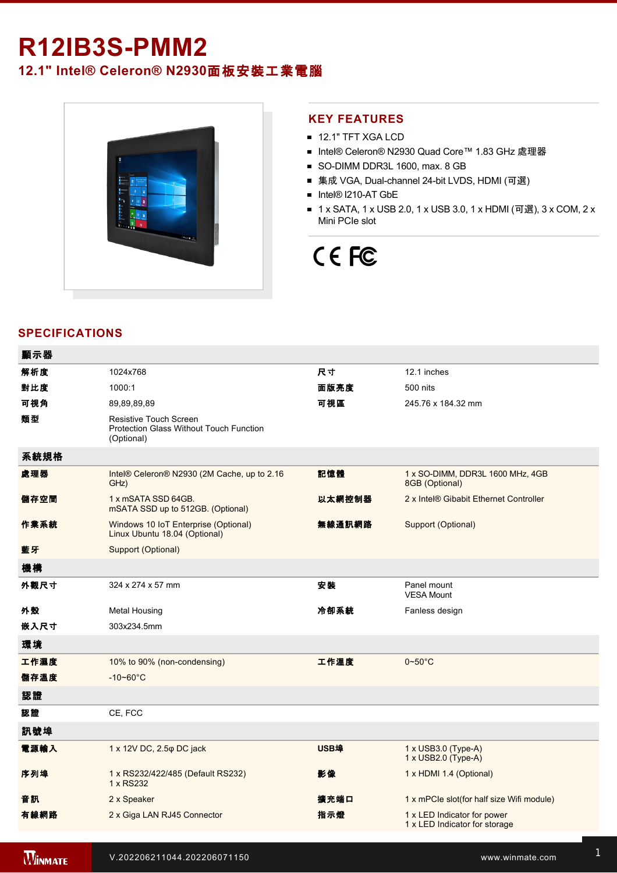## **R12IB3S-PMM2**

## **12.1" Intel® Celeron® N2930**面板安裝工業電腦



### **KEY FEATURES**

- **12.1" TFT XGA LCD**
- Intel® Celeron® N2930 Quad Core™ 1.83 GHz 處理器
- SO-DIMM DDR3L 1600, max. 8 GB
- 集成 VGA, Dual-channel 24-bit LVDS, HDMI (可選)
- Intel® I210-AT GbE
- 1 x SATA, 1 x USB 2.0, 1 x USB 3.0, 1 x HDMI (可選), 3 x COM, 2 x Mini PCIe slot

# CE FC

## **SPECIFICATIONS**

| 顯示器  |                                                                                               |             |                                                              |
|------|-----------------------------------------------------------------------------------------------|-------------|--------------------------------------------------------------|
| 解析度  | 1024x768                                                                                      | 尺寸          | 12.1 inches                                                  |
| 對比度  | 1000:1                                                                                        | 面版亮度        | 500 nits                                                     |
| 可視角  | 89,89,89,89                                                                                   | 可視區         | 245.76 x 184.32 mm                                           |
| 類型   | <b>Resistive Touch Screen</b><br><b>Protection Glass Without Touch Function</b><br>(Optional) |             |                                                              |
| 系統規格 |                                                                                               |             |                                                              |
| 處理器  | Intel® Celeron® N2930 (2M Cache, up to 2.16<br>GHz)                                           | 記憶體         | 1 x SO-DIMM, DDR3L 1600 MHz, 4GB<br>8GB (Optional)           |
| 儲存空間 | 1 x mSATA SSD 64GB.<br>mSATA SSD up to 512GB. (Optional)                                      | 以太網控制器      | 2 x Intel® Gibabit Ethernet Controller                       |
| 作業系統 | Windows 10 IoT Enterprise (Optional)<br>Linux Ubuntu 18.04 (Optional)                         | 無線通訊網路      | Support (Optional)                                           |
| 藍牙   | Support (Optional)                                                                            |             |                                                              |
| 機構   |                                                                                               |             |                                                              |
| 外觀尺寸 | 324 x 274 x 57 mm                                                                             | 安装          | Panel mount<br><b>VESA Mount</b>                             |
| 外殼   | <b>Metal Housing</b>                                                                          | 冷卻系統        | Fanless design                                               |
| 嵌入尺寸 | 303x234.5mm                                                                                   |             |                                                              |
| 環境   |                                                                                               |             |                                                              |
| 工作濕度 | 10% to 90% (non-condensing)                                                                   | 工作溫度        | $0\nthicksim50^{\circ}$ C                                    |
| 儲存溫度 | $-10 - 60^{\circ}C$                                                                           |             |                                                              |
| 認證   |                                                                                               |             |                                                              |
| 認證   | CE, FCC                                                                                       |             |                                                              |
| 訊號埠  |                                                                                               |             |                                                              |
| 電源輸入 | 1 x 12V DC, 2.5 $\varphi$ DC jack                                                             | <b>USB埠</b> | 1 x USB3.0 (Type-A)<br>1 x USB2.0 (Type-A)                   |
| 序列埠  | 1 x RS232/422/485 (Default RS232)<br>1 x RS232                                                | 影像          | 1 x HDMI 1.4 (Optional)                                      |
| 音訊   | 2 x Speaker                                                                                   | 擴充端口        | 1 x mPCle slot(for half size Wifi module)                    |
| 有線網路 | 2 x Giga LAN RJ45 Connector                                                                   | 指示燈         | 1 x LED Indicator for power<br>1 x LED Indicator for storage |
|      |                                                                                               |             |                                                              |

**WINMATE**